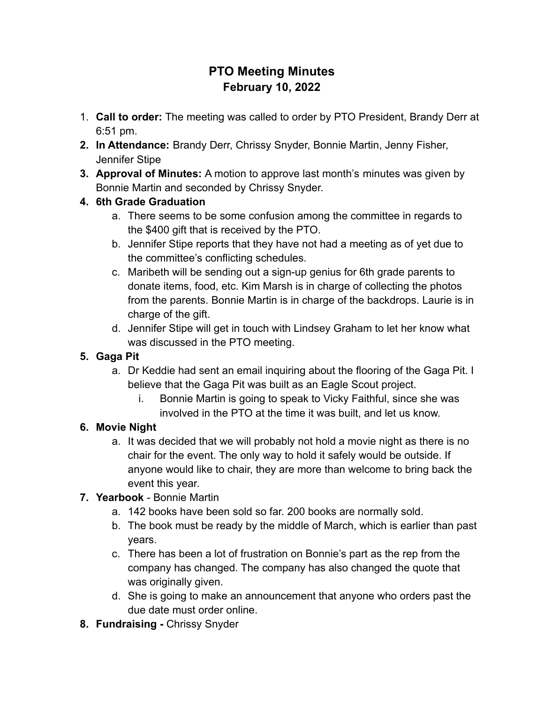# **PTO Meeting Minutes February 10, 2022**

- 1. **Call to order:** The meeting was called to order by PTO President, Brandy Derr at 6:51 pm.
- **2. In Attendance:** Brandy Derr, Chrissy Snyder, Bonnie Martin, Jenny Fisher, Jennifer Stipe
- **3. Approval of Minutes:** A motion to approve last month's minutes was given by Bonnie Martin and seconded by Chrissy Snyder.

# **4. 6th Grade Graduation**

- a. There seems to be some confusion among the committee in regards to the \$400 gift that is received by the PTO.
- b. Jennifer Stipe reports that they have not had a meeting as of yet due to the committee's conflicting schedules.
- c. Maribeth will be sending out a sign-up genius for 6th grade parents to donate items, food, etc. Kim Marsh is in charge of collecting the photos from the parents. Bonnie Martin is in charge of the backdrops. Laurie is in charge of the gift.
- d. Jennifer Stipe will get in touch with Lindsey Graham to let her know what was discussed in the PTO meeting.

# **5. Gaga Pit**

- a. Dr Keddie had sent an email inquiring about the flooring of the Gaga Pit. I believe that the Gaga Pit was built as an Eagle Scout project.
	- i. Bonnie Martin is going to speak to Vicky Faithful, since she was involved in the PTO at the time it was built, and let us know.

# **6. Movie Night**

a. It was decided that we will probably not hold a movie night as there is no chair for the event. The only way to hold it safely would be outside. If anyone would like to chair, they are more than welcome to bring back the event this year.

# **7. Yearbook** - Bonnie Martin

- a. 142 books have been sold so far. 200 books are normally sold.
- b. The book must be ready by the middle of March, which is earlier than past years.
- c. There has been a lot of frustration on Bonnie's part as the rep from the company has changed. The company has also changed the quote that was originally given.
- d. She is going to make an announcement that anyone who orders past the due date must order online.
- **8. Fundraising -** Chrissy Snyder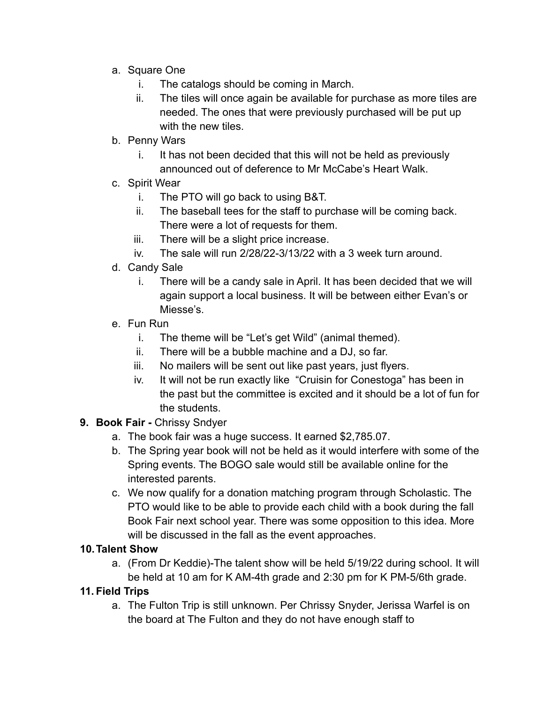- a. Square One
	- i. The catalogs should be coming in March.
	- ii. The tiles will once again be available for purchase as more tiles are needed. The ones that were previously purchased will be put up with the new tiles.
- b. Penny Wars
	- i. It has not been decided that this will not be held as previously announced out of deference to Mr McCabe's Heart Walk.
- c. Spirit Wear
	- i. The PTO will go back to using B&T.
	- ii. The baseball tees for the staff to purchase will be coming back. There were a lot of requests for them.
	- iii. There will be a slight price increase.
	- iv. The sale will run 2/28/22-3/13/22 with a 3 week turn around.
- d. Candy Sale
	- i. There will be a candy sale in April. It has been decided that we will again support a local business. It will be between either Evan's or Miesse's.
- e. Fun Run
	- i. The theme will be "Let's get Wild" (animal themed).
	- ii. There will be a bubble machine and a DJ, so far.
	- iii. No mailers will be sent out like past years, just flyers.
	- iv. It will not be run exactly like "Cruisin for Conestoga" has been in the past but the committee is excited and it should be a lot of fun for the students.
- **9. Book Fair -** Chrissy Sndyer
	- a. The book fair was a huge success. It earned \$2,785.07.
	- b. The Spring year book will not be held as it would interfere with some of the Spring events. The BOGO sale would still be available online for the interested parents.
	- c. We now qualify for a donation matching program through Scholastic. The PTO would like to be able to provide each child with a book during the fall Book Fair next school year. There was some opposition to this idea. More will be discussed in the fall as the event approaches.

#### **10.Talent Show**

a. (From Dr Keddie)-The talent show will be held 5/19/22 during school. It will be held at 10 am for K AM-4th grade and 2:30 pm for K PM-5/6th grade.

### **11. Field Trips**

a. The Fulton Trip is still unknown. Per Chrissy Snyder, Jerissa Warfel is on the board at The Fulton and they do not have enough staff to